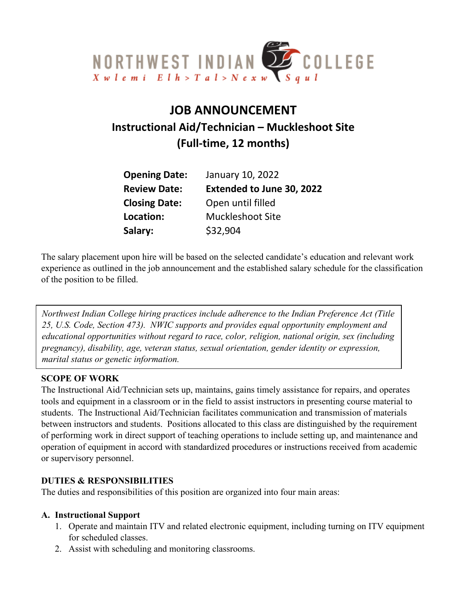

# **JOB ANNOUNCEMENT Instructional Aid/Technician – Muckleshoot Site (Full-time, 12 months)**

| <b>Opening Date:</b> | January 10, 2022                 |
|----------------------|----------------------------------|
| <b>Review Date:</b>  | <b>Extended to June 30, 2022</b> |
| <b>Closing Date:</b> | Open until filled                |
| Location:            | <b>Muckleshoot Site</b>          |
| Salary:              | \$32,904                         |

The salary placement upon hire will be based on the selected candidate's education and relevant work experience as outlined in the job announcement and the established salary schedule for the classification of the position to be filled.

*Northwest Indian College hiring practices include adherence to the Indian Preference Act (Title 25, U.S. Code, Section 473). NWIC supports and provides equal opportunity employment and educational opportunities without regard to race, color, religion, national origin, sex (including pregnancy), disability, age, veteran status, sexual orientation, gender identity or expression, marital status or genetic information.*

#### **SCOPE OF WORK**

The Instructional Aid/Technician sets up, maintains, gains timely assistance for repairs, and operates tools and equipment in a classroom or in the field to assist instructors in presenting course material to students. The Instructional Aid/Technician facilitates communication and transmission of materials between instructors and students. Positions allocated to this class are distinguished by the requirement of performing work in direct support of teaching operations to include setting up, and maintenance and operation of equipment in accord with standardized procedures or instructions received from academic or supervisory personnel.

#### **DUTIES & RESPONSIBILITIES**

The duties and responsibilities of this position are organized into four main areas:

#### **A. Instructional Support**

- 1. Operate and maintain ITV and related electronic equipment, including turning on ITV equipment for scheduled classes.
- 2. Assist with scheduling and monitoring classrooms.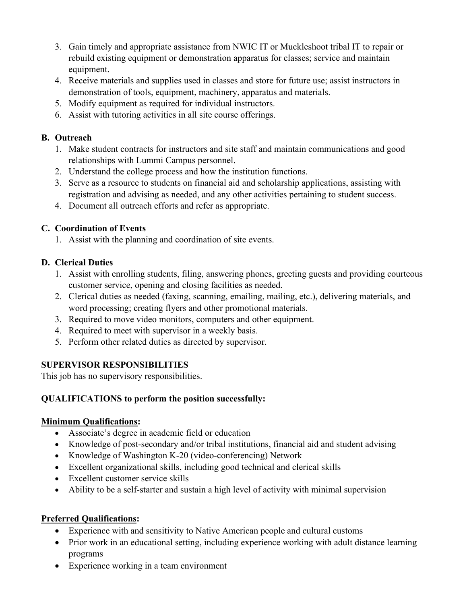- 3. Gain timely and appropriate assistance from NWIC IT or Muckleshoot tribal IT to repair or rebuild existing equipment or demonstration apparatus for classes; service and maintain equipment.
- 4. Receive materials and supplies used in classes and store for future use; assist instructors in demonstration of tools, equipment, machinery, apparatus and materials.
- 5. Modify equipment as required for individual instructors.
- 6. Assist with tutoring activities in all site course offerings.

## **B. Outreach**

- 1. Make student contracts for instructors and site staff and maintain communications and good relationships with Lummi Campus personnel.
- 2. Understand the college process and how the institution functions.
- 3. Serve as a resource to students on financial aid and scholarship applications, assisting with registration and advising as needed, and any other activities pertaining to student success.
- 4. Document all outreach efforts and refer as appropriate.

## **C. Coordination of Events**

1. Assist with the planning and coordination of site events.

# **D. Clerical Duties**

- 1. Assist with enrolling students, filing, answering phones, greeting guests and providing courteous customer service, opening and closing facilities as needed.
- 2. Clerical duties as needed (faxing, scanning, emailing, mailing, etc.), delivering materials, and word processing; creating flyers and other promotional materials.
- 3. Required to move video monitors, computers and other equipment.
- 4. Required to meet with supervisor in a weekly basis.
- 5. Perform other related duties as directed by supervisor.

# **SUPERVISOR RESPONSIBILITIES**

This job has no supervisory responsibilities.

# **QUALIFICATIONS to perform the position successfully:**

## **Minimum Qualifications:**

- Associate's degree in academic field or education
- Knowledge of post-secondary and/or tribal institutions, financial aid and student advising
- Knowledge of Washington K-20 (video-conferencing) Network
- Excellent organizational skills, including good technical and clerical skills
- Excellent customer service skills
- Ability to be a self-starter and sustain a high level of activity with minimal supervision

# **Preferred Qualifications:**

- Experience with and sensitivity to Native American people and cultural customs
- Prior work in an educational setting, including experience working with adult distance learning programs
- Experience working in a team environment